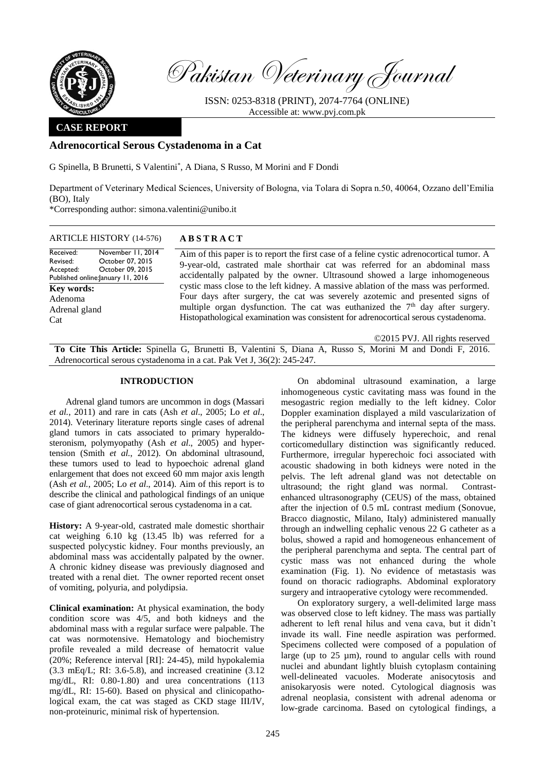

Pakistan Veterinary Journal

ISSN: 0253-8318 (PRINT), 2074-7764 (ONLINE) Accessible at: [www.pvj.com.pk](http://www.pvj.com.pk/)

# **CASE REPORT**

# **Adrenocortical Serous Cystadenoma in a Cat**

G Spinella, B Brunetti, S Valentini\* , A Diana, S Russo, M Morini and F Dondi

Department of Veterinary Medical Sciences, University of Bologna, via Tolara di Sopra n.50, 40064, Ozzano dell'Emilia (BO), Italy

\*Corresponding author: simona.valentini@unibo.it

## ARTICLE HISTORY (14-576) **A B S T R A C T**

Received: Revised: Accepted: Published online: January 11, 2016 November 11, 2014 October 07, 2015 October 09, 2015 **Key words:**  Adenoma Adrenal gland Cat

Aim of this paper is to report the first case of a feline cystic adrenocortical tumor. A 9-year-old, castrated male shorthair cat was referred for an abdominal mass accidentally palpated by the owner. Ultrasound showed a large inhomogeneous cystic mass close to the left kidney. A massive ablation of the mass was performed. Four days after surgery, the cat was severely azotemic and presented signs of multiple organ dysfunction. The cat was euthanized the  $7<sup>th</sup>$  day after surgery. Histopathological examination was consistent for adrenocortical serous cystadenoma.

©2015 PVJ. All rights reserved

**To Cite This Article:** Spinella G, Brunetti B, Valentini S, Diana A, Russo S, Morini M and Dondi F, 2016. Adrenocortical serous cystadenoma in a cat. Pak Vet J, 36(2): 245-247.

### **INTRODUCTION**

Adrenal gland tumors are uncommon in dogs (Massari *et al.*, 2011) and rare in cats (Ash *et al*., 2005; Lo *et al*., 2014). Veterinary literature reports single cases of adrenal gland tumors in cats associated to primary hyperaldosteronism, polymyopathy (Ash *et al*., 2005) and hypertension (Smith *et al.*, 2012). On abdominal ultrasound, these tumors used to lead to hypoechoic adrenal gland enlargement that does not exceed 60 mm major axis length (Ash *et al.*, 2005; Lo *et al*., 2014). Aim of this report is to describe the clinical and pathological findings of an unique case of giant adrenocortical serous cystadenoma in a cat.

**History:** A 9-year-old, castrated male domestic shorthair cat weighing 6.10 kg (13.45 lb) was referred for a suspected polycystic kidney. Four months previously, an abdominal mass was accidentally palpated by the owner. A chronic kidney disease was previously diagnosed and treated with a renal diet. The owner reported recent onset of vomiting, polyuria, and polydipsia.

**Clinical examination:** At physical examination, the body condition score was 4/5, and both kidneys and the abdominal mass with a regular surface were palpable. The cat was normotensive. Hematology and biochemistry profile revealed a mild decrease of hematocrit value (20%; Reference interval [RI]: 24-45), mild hypokalemia (3.3 mEq/L; RI: 3.6-5.8), and increased creatinine (3.12 mg/dL, RI: 0.80-1.80) and urea concentrations (113 mg/dL, RI: 15-60). Based on physical and clinicopathological exam, the cat was staged as CKD stage III/IV, non-proteinuric, minimal risk of hypertension.

On abdominal ultrasound examination, a large inhomogeneous cystic cavitating mass was found in the mesogastric region medially to the left kidney. Color Doppler examination displayed a mild vascularization of the peripheral parenchyma and internal septa of the mass. The kidneys were diffusely hyperechoic, and renal corticomedullary distinction was significantly reduced. Furthermore, irregular hyperechoic foci associated with acoustic shadowing in both kidneys were noted in the pelvis. The left adrenal gland was not detectable on ultrasound; the right gland was normal. Contrastenhanced ultrasonography (CEUS) of the mass, obtained after the injection of 0.5 mL contrast medium (Sonovue, Bracco diagnostic, Milano, Italy) administered manually through an indwelling cephalic venous 22 G catheter as a bolus, showed a rapid and homogeneous enhancement of the peripheral parenchyma and septa. The central part of cystic mass was not enhanced during the whole examination (Fig. 1). No evidence of metastasis was found on thoracic radiographs. Abdominal exploratory surgery and intraoperative cytology were recommended.

On exploratory surgery, a well-delimited large mass was observed close to left kidney. The mass was partially adherent to left renal hilus and vena cava, but it didn't invade its wall. Fine needle aspiration was performed. Specimens collected were composed of a population of large (up to  $25 \mu m$ ), round to angular cells with round nuclei and abundant lightly bluish cytoplasm containing well-delineated vacuoles. Moderate anisocytosis and anisokaryosis were noted. Cytological diagnosis was adrenal neoplasia, consistent with adrenal adenoma or low-grade carcinoma. Based on cytological findings, a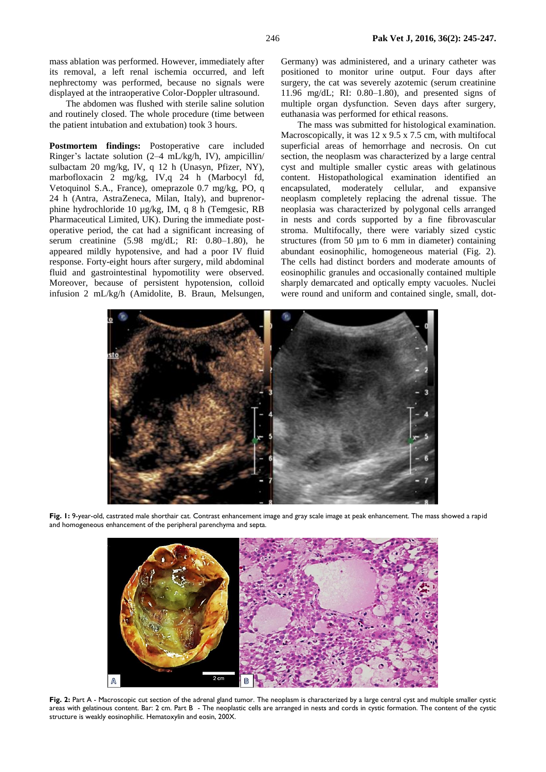mass ablation was performed. However, immediately after its removal, a left renal ischemia occurred, and left nephrectomy was performed, because no signals were displayed at the intraoperative Color-Doppler ultrasound.

The abdomen was flushed with sterile saline solution and routinely closed. The whole procedure (time between the patient intubation and extubation) took 3 hours.

**Postmortem findings:** Postoperative care included Ringer's lactate solution (2–4 mL/kg/h, IV), ampicillin/ sulbactam 20 mg/kg, IV, q 12 h (Unasyn, Pfizer, NY), marbofloxacin 2 mg/kg, IV,q 24 h (Marbocyl fd, Vetoquinol S.A., France), omeprazole 0.7 mg/kg, PO, q 24 h (Antra, AstraZeneca, Milan, Italy), and buprenorphine hydrochloride 10 µg/kg, IM, q 8 h (Temgesic, RB Pharmaceutical Limited, UK). During the immediate postoperative period, the cat had a significant increasing of serum creatinine (5.98 mg/dL; RI: 0.80–1.80), he appeared mildly hypotensive, and had a poor IV fluid response. Forty-eight hours after surgery, mild abdominal fluid and gastrointestinal hypomotility were observed. Moreover, because of persistent hypotension, colloid infusion 2 mL/kg/h (Amidolite, B. Braun, Melsungen, Germany) was administered, and a urinary catheter was positioned to monitor urine output. Four days after surgery, the cat was severely azotemic (serum creatinine 11.96 mg/dL; RI: 0.80–1.80), and presented signs of multiple organ dysfunction. Seven days after surgery, euthanasia was performed for ethical reasons.

The mass was submitted for histological examination. Macroscopically, it was 12 x 9.5 x 7.5 cm, with multifocal superficial areas of hemorrhage and necrosis. On cut section, the neoplasm was characterized by a large central cyst and multiple smaller cystic areas with gelatinous content. Histopathological examination identified an encapsulated, moderately cellular, and expansive neoplasm completely replacing the adrenal tissue. The neoplasia was characterized by polygonal cells arranged in nests and cords supported by a fine fibrovascular stroma. Multifocally, there were variably sized cystic structures (from  $50 \mu m$  to 6 mm in diameter) containing abundant eosinophilic, homogeneous material (Fig. 2). The cells had distinct borders and moderate amounts of eosinophilic granules and occasionally contained multiple sharply demarcated and optically empty vacuoles. Nuclei were round and uniform and contained single, small, dot-



**Fig. 1:** 9-year-old, castrated male shorthair cat. Contrast enhancement image and gray scale image at peak enhancement. The mass showed a rapid and homogeneous enhancement of the peripheral parenchyma and septa.



Fig. 2: Part A - Macroscopic cut section of the adrenal gland tumor. The neoplasm is characterized by a large central cyst and multiple smaller cystic areas with gelatinous content. Bar: 2 cm. Part B - The neoplastic cells are arranged in nests and cords in cystic formation. The content of the cystic structure is weakly eosinophilic. Hematoxylin and eosin, 200X.